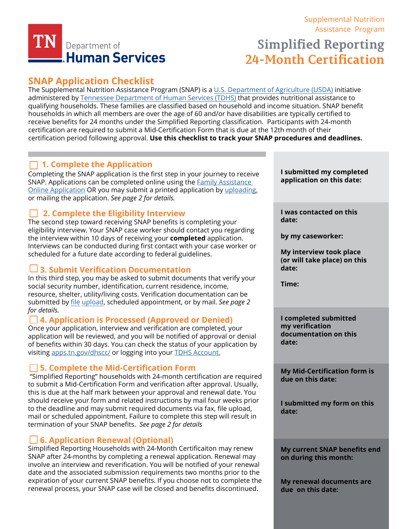

# [Supplemental Nutrition](https://www.tn.gov/humanservices/for-families/supplemental-nutrition-assistance-program-snap.html) [Assistance Program](https://www.tn.gov/humanservices/for-families/supplemental-nutrition-assistance-program-snap.html)

# **Simplified Reporting 24-Month Certification**

# **SNAP Application Checklist**

[The Supplemental Nutrition Assistance Program \(SNAP\) is a U.S. Department of Agriculture \(USDA\) initiative](https://www.fns.usda.gov/)  administered by [Tennessee Department of Human Services \(TDHS\)](https://www.tn.gov/content/tn/humanservices.html) that provides nutritional assistance to qualifying households. These families are classified based on household and income situation. SNAP benefit households in which all members are over the age of 60 and/or have disabilities are typically certified to receive benefits for 24 months under the Simplified Reporting classification. Participants with 24-month certification are required to submit a Mid-Certification Form that is due at the 12th month of their certification period following approval. **Use this checklist to track your SNAP procedures and deadlines.**

# **1. Complete the Application**

Completing the SNAP application is the first step in your journey to receive SNAP. Applications can be completed online using the **Family Assistance** [Online Application](https://faonlineapp.dhs.tn.gov/) OR you may submit a printed application by [uploading,](https://fileupload.dhs.tn.gov/) or mailing the application. *See page 2 for details.* 

# **2. Complete the Eligibility Interview**

The second step toward receiving SNAP benefits is completing your eligibility interview. Your SNAP case worker should contact you regarding the interview within 10 days of receiving your **completed** application. Interviews can be conducted during first contact with your case worker or scheduled for a future date according to federal guidelines.

## **3. Submit Verification Documentation**

In this third step, you may be asked to submit documents that verify your social security number, identification, current residence, income, resource, shelter, utility/living costs. Verification documentation can [be](https://fileupload.dhs.tn.gov/)  submitted by file [upload](https://fileupload.dhs.tn.gov/), scheduled appointment, or by mail. *See page 2 for details.*

### **4. Application is Processed (Approved or Denied)**

Once your application, interview and verification are completed, your application will be reviewed, and you will be notified of approval or denial of benefits within 30 days. You can check the status of your application by visiting [apps.tn.gov/dhscc/](https://apps.tn.gov/dhscc/) or logging into your [TDHS Account.](https://apps.tn.gov/dhsaccess/)

### **5. Complete the Mid-Certification Form**

 "Simplified Reporting" households with 24-month certification are required to submit a Mid-Certification Form and verification after approval. Usually, this is due at the half mark between your approval and renewal date. You should receive your form and related instructions by mail four weeks prior to the deadline and may submit required documents via fax, file upload, mail or scheduled appointment. Failure to complete this step will result in termination of your SNAP benefits. *See page 2 for details*

### **6. Application Renewal (Optional)**

Simplified Reporting Households with 24-Month Certificaiton may renew SNAP after 24-months by completing a renewal application. Renewal may involve an interview and reverification. You will be notified of your renewal date and the associated submission requirements two months prior to the expiration of your current SNAP benefits. If you choose not to complete the renewal process, your SNAP case will be closed and benefits discontinued.

**I submitted my completed application on this date:** 

**I was contacted on this date:** 

**by my caseworker:**

**My interview took place (or will take place) on this date:** 

**Time:** 

**I completed submitted my verification documentation on this date:** 

**My Mid-Certification form is due on this date:** 

**I submitted my form on this date:** 

**My current SNAP benefits end on during this month:** 

**My renewal documents are due on this date:**